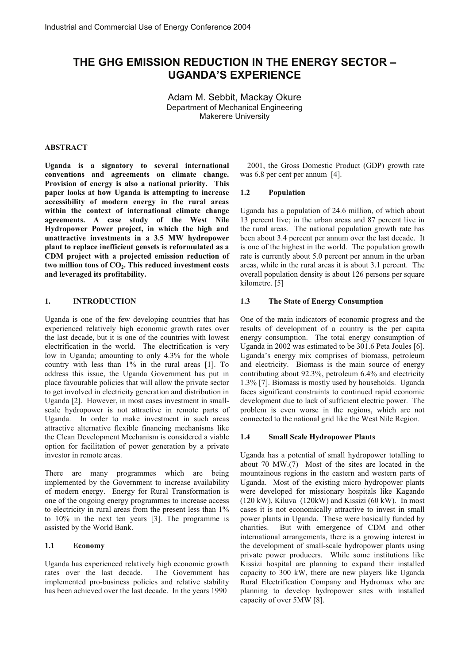# **THE GHG EMISSION REDUCTION IN THE ENERGY SECTOR – UGANDA'S EXPERIENCE**

Adam M. Sebbit, Mackay Okure Department of Mechanical Engineering Makerere University

#### **ABSTRACT**

**Uganda is a signatory to several international conventions and agreements on climate change. Provision of energy is also a national priority. This paper looks at how Uganda is attempting to increase accessibility of modern energy in the rural areas within the context of international climate change agreements. A case study of the West Nile Hydropower Power project, in which the high and unattractive investments in a 3.5 MW hydropower plant to replace inefficient gensets is reformulated as a CDM project with a projected emission reduction of two million tons of CO2. This reduced investment costs and leveraged its profitability.** 

#### **1. INTRODUCTION**

Uganda is one of the few developing countries that has experienced relatively high economic growth rates over the last decade, but it is one of the countries with lowest electrification in the world. The electrification is very low in Uganda; amounting to only 4.3% for the whole country with less than 1% in the rural areas [1]. To address this issue, the Uganda Government has put in place favourable policies that will allow the private sector to get involved in electricity generation and distribution in Uganda [2]. However, in most cases investment in smallscale hydropower is not attractive in remote parts of Uganda. In order to make investment in such areas attractive alternative flexible financing mechanisms like the Clean Development Mechanism is considered a viable option for facilitation of power generation by a private investor in remote areas.

There are many programmes which are being implemented by the Government to increase availability of modern energy. Energy for Rural Transformation is one of the ongoing energy programmes to increase access to electricity in rural areas from the present less than 1% to 10% in the next ten years [3]. The programme is assisted by the World Bank.

### **1.1 Economy**

Uganda has experienced relatively high economic growth rates over the last decade. The Government has implemented pro-business policies and relative stability has been achieved over the last decade. In the years 1990

– 2001, the Gross Domestic Product (GDP) growth rate was 6.8 per cent per annum [4].

### **1.2 Population**

Uganda has a population of 24.6 million, of which about 13 percent live; in the urban areas and 87 percent live in the rural areas. The national population growth rate has been about 3.4 percent per annum over the last decade. It is one of the highest in the world. The population growth rate is currently about 5.0 percent per annum in the urban areas, while in the rural areas it is about 3.1 percent. The overall population density is about 126 persons per square kilometre. [5]

### **1.3 The State of Energy Consumption**

One of the main indicators of economic progress and the results of development of a country is the per capita energy consumption. The total energy consumption of Uganda in 2002 was estimated to be 301.6 Peta Joules [6]. Uganda's energy mix comprises of biomass, petroleum and electricity. Biomass is the main source of energy contributing about 92.3%, petroleum 6.4% and electricity 1.3% [7]. Biomass is mostly used by households. Uganda faces significant constraints to continued rapid economic development due to lack of sufficient electric power. The problem is even worse in the regions, which are not connected to the national grid like the West Nile Region.

#### **1.4 Small Scale Hydropower Plants**

Uganda has a potential of small hydropower totalling to about 70 MW.(7) Most of the sites are located in the mountainous regions in the eastern and western parts of Uganda. Most of the existing micro hydropower plants were developed for missionary hospitals like Kagando (120 kW), Kiluva (120kW) and Kissizi (60 kW). In most cases it is not economically attractive to invest in small power plants in Uganda. These were basically funded by charities. But with emergence of CDM and other international arrangements, there is a growing interest in the development of small-scale hydropower plants using private power producers. While some institutions like Kissizi hospital are planning to expand their installed capacity to 300 kW, there are new players like Uganda Rural Electrification Company and Hydromax who are planning to develop hydropower sites with installed capacity of over 5MW [8].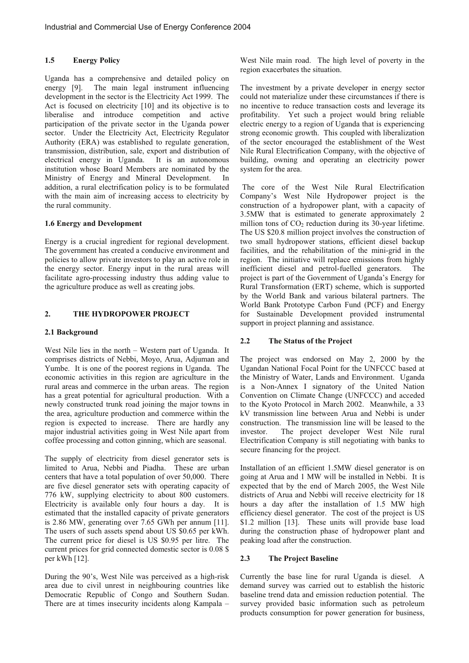# **1.5 Energy Policy**

Uganda has a comprehensive and detailed policy on energy [9]. The main legal instrument influencing development in the sector is the Electricity Act 1999. The Act is focused on electricity [10] and its objective is to liberalise and introduce competition and active participation of the private sector in the Uganda power sector. Under the Electricity Act, Electricity Regulator Authority (ERA) was established to regulate generation, transmission, distribution, sale, export and distribution of electrical energy in Uganda. It is an autonomous electrical energy in Uganda. institution whose Board Members are nominated by the Ministry of Energy and Mineral Development. In addition, a rural electrification policy is to be formulated with the main aim of increasing access to electricity by the rural community.

### **1.6 Energy and Development**

Energy is a crucial ingredient for regional development. The government has created a conducive environment and policies to allow private investors to play an active role in the energy sector. Energy input in the rural areas will facilitate agro-processing industry thus adding value to the agriculture produce as well as creating jobs.

# **2. THE HYDROPOWER PROJECT**

### **2.1 Background**

West Nile lies in the north – Western part of Uganda. It comprises districts of Nebbi, Moyo, Arua, Adjuman and Yumbe. It is one of the poorest regions in Uganda. The economic activities in this region are agriculture in the rural areas and commerce in the urban areas. The region has a great potential for agricultural production. With a newly constructed trunk road joining the major towns in the area, agriculture production and commerce within the region is expected to increase. There are hardly any major industrial activities going in West Nile apart from coffee processing and cotton ginning, which are seasonal.

The supply of electricity from diesel generator sets is limited to Arua, Nebbi and Piadha. These are urban centers that have a total population of over 50,000. There are five diesel generator sets with operating capacity of 776 kW, supplying electricity to about 800 customers. Electricity is available only four hours a day. It is estimated that the installed capacity of private generators is 2.86 MW, generating over 7.65 GWh per annum [11]. The users of such assets spend about US \$0.65 per kWh. The current price for diesel is US \$0.95 per litre. The current prices for grid connected domestic sector is 0.08 \$ per kWh [12].

During the 90's, West Nile was perceived as a high-risk area due to civil unrest in neighbouring countries like Democratic Republic of Congo and Southern Sudan. There are at times insecurity incidents along Kampala –

West Nile main road. The high level of poverty in the region exacerbates the situation.

The investment by a private developer in energy sector could not materialize under these circumstances if there is no incentive to reduce transaction costs and leverage its profitability. Yet such a project would bring reliable electric energy to a region of Uganda that is experiencing strong economic growth. This coupled with liberalization of the sector encouraged the establishment of the West Nile Rural Electrification Company, with the objective of building, owning and operating an electricity power system for the area.

 The core of the West Nile Rural Electrification Company's West Nile Hydropower project is the construction of a hydropower plant, with a capacity of 3.5MW that is estimated to generate approximately 2 million tons of  $CO<sub>2</sub>$  reduction during its 30-year lifetime. The US \$20.8 million project involves the construction of two small hydropower stations, efficient diesel backup facilities, and the rehabilitation of the mini-grid in the region. The initiative will replace emissions from highly inefficient diesel and petrol-fuelled generators. The project is part of the Government of Uganda's Energy for Rural Transformation (ERT) scheme, which is supported by the World Bank and various bilateral partners. The World Bank Prototype Carbon Fund (PCF) and Energy for Sustainable Development provided instrumental support in project planning and assistance.

# **2.2 The Status of the Project**

The project was endorsed on May 2, 2000 by the Ugandan National Focal Point for the UNFCCC based at the Ministry of Water, Lands and Environment. Uganda is a Non-Annex I signatory of the United Nation Convention on Climate Change (UNFCCC) and acceded to the Kyoto Protocol in March 2002. Meanwhile, a 33 kV transmission line between Arua and Nebbi is under construction. The transmission line will be leased to the investor. The project developer West Nile rural Electrification Company is still negotiating with banks to secure financing for the project.

Installation of an efficient 1.5MW diesel generator is on going at Arua and 1 MW will be installed in Nebbi. It is expected that by the end of March 2005, the West Nile districts of Arua and Nebbi will receive electricity for 18 hours a day after the installation of 1.5 MW high efficiency diesel generator. The cost of the project is US \$1.2 million [13]. These units will provide base load during the construction phase of hydropower plant and peaking load after the construction.

# **2.3 The Project Baseline**

Currently the base line for rural Uganda is diesel. A demand survey was carried out to establish the historic baseline trend data and emission reduction potential. The survey provided basic information such as petroleum products consumption for power generation for business,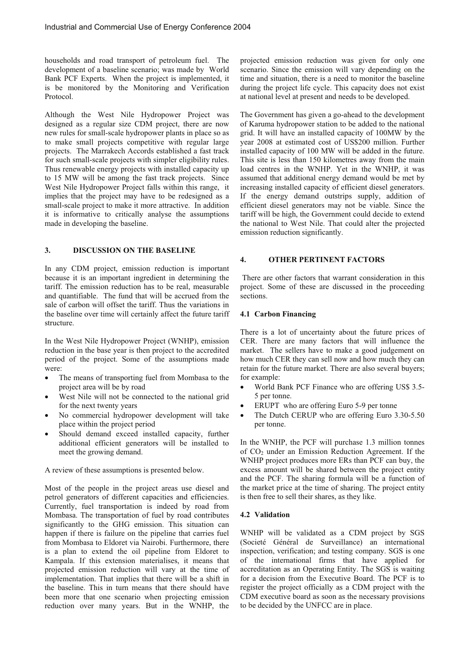households and road transport of petroleum fuel. The development of a baseline scenario; was made by World Bank PCF Experts. When the project is implemented, it is be monitored by the Monitoring and Verification Protocol.

Although the West Nile Hydropower Project was designed as a regular size CDM project, there are now new rules for small-scale hydropower plants in place so as to make small projects competitive with regular large projects. The Marrakech Accords established a fast track for such small-scale projects with simpler eligibility rules. Thus renewable energy projects with installed capacity up to 15 MW will be among the fast track projects. Since West Nile Hydropower Project falls within this range, it implies that the project may have to be redesigned as a small-scale project to make it more attractive. In addition it is informative to critically analyse the assumptions made in developing the baseline.

### **3. DISCUSSION ON THE BASELINE**

In any CDM project, emission reduction is important because it is an important ingredient in determining the tariff. The emission reduction has to be real, measurable and quantifiable. The fund that will be accrued from the sale of carbon will offset the tariff. Thus the variations in the baseline over time will certainly affect the future tariff structure.

In the West Nile Hydropower Project (WNHP), emission reduction in the base year is then project to the accredited period of the project. Some of the assumptions made were:

- ! The means of transporting fuel from Mombasa to the project area will be by road
- West Nile will not be connected to the national grid for the next twenty years
- ! No commercial hydropower development will take place within the project period
- Should demand exceed installed capacity, further additional efficient generators will be installed to meet the growing demand.

A review of these assumptions is presented below.

Most of the people in the project areas use diesel and petrol generators of different capacities and efficiencies. Currently, fuel transportation is indeed by road from Mombasa. The transportation of fuel by road contributes significantly to the GHG emission. This situation can happen if there is failure on the pipeline that carries fuel from Mombasa to Eldoret via Nairobi. Furthermore, there is a plan to extend the oil pipeline from Eldoret to Kampala. If this extension materialises, it means that projected emission reduction will vary at the time of implementation. That implies that there will be a shift in the baseline. This in turn means that there should have been more that one scenario when projecting emission reduction over many years. But in the WNHP, the

projected emission reduction was given for only one scenario. Since the emission will vary depending on the time and situation, there is a need to monitor the baseline during the project life cycle. This capacity does not exist at national level at present and needs to be developed.

The Government has given a go-ahead to the development of Karuma hydropower station to be added to the national grid. It will have an installed capacity of 100MW by the year 2008 at estimated cost of US\$200 million. Further installed capacity of 100 MW will be added in the future. This site is less than 150 kilometres away from the main load centres in the WNHP. Yet in the WNHP, it was assumed that additional energy demand would be met by increasing installed capacity of efficient diesel generators. If the energy demand outstrips supply, addition of efficient diesel generators may not be viable. Since the tariff will be high, the Government could decide to extend the national to West Nile. That could alter the projected emission reduction significantly.

### **4. OTHER PERTINENT FACTORS**

 There are other factors that warrant consideration in this project. Some of these are discussed in the proceeding sections.

#### **4.1 Carbon Financing**

There is a lot of uncertainty about the future prices of CER. There are many factors that will influence the market. The sellers have to make a good judgement on how much CER they can sell now and how much they can retain for the future market. There are also several buyers; for example:

- World Bank PCF Finance who are offering US\$ 3.5-5 per tonne.
- ERUPT who are offering Euro 5-9 per tonne
- The Dutch CERUP who are offering Euro 3.30-5.50 per tonne.

In the WNHP, the PCF will purchase 1.3 million tonnes of CO2 under an Emission Reduction Agreement. If the WNHP project produces more ERs than PCF can buy, the excess amount will be shared between the project entity and the PCF. The sharing formula will be a function of the market price at the time of sharing. The project entity is then free to sell their shares, as they like.

#### **4.2 Validation**

WNHP will be validated as a CDM project by SGS (Societé Général de Surveillance) an international inspection, verification; and testing company. SGS is one of the international firms that have applied for accreditation as an Operating Entity. The SGS is waiting for a decision from the Executive Board. The PCF is to register the project officially as a CDM project with the CDM executive board as soon as the necessary provisions to be decided by the UNFCC are in place.